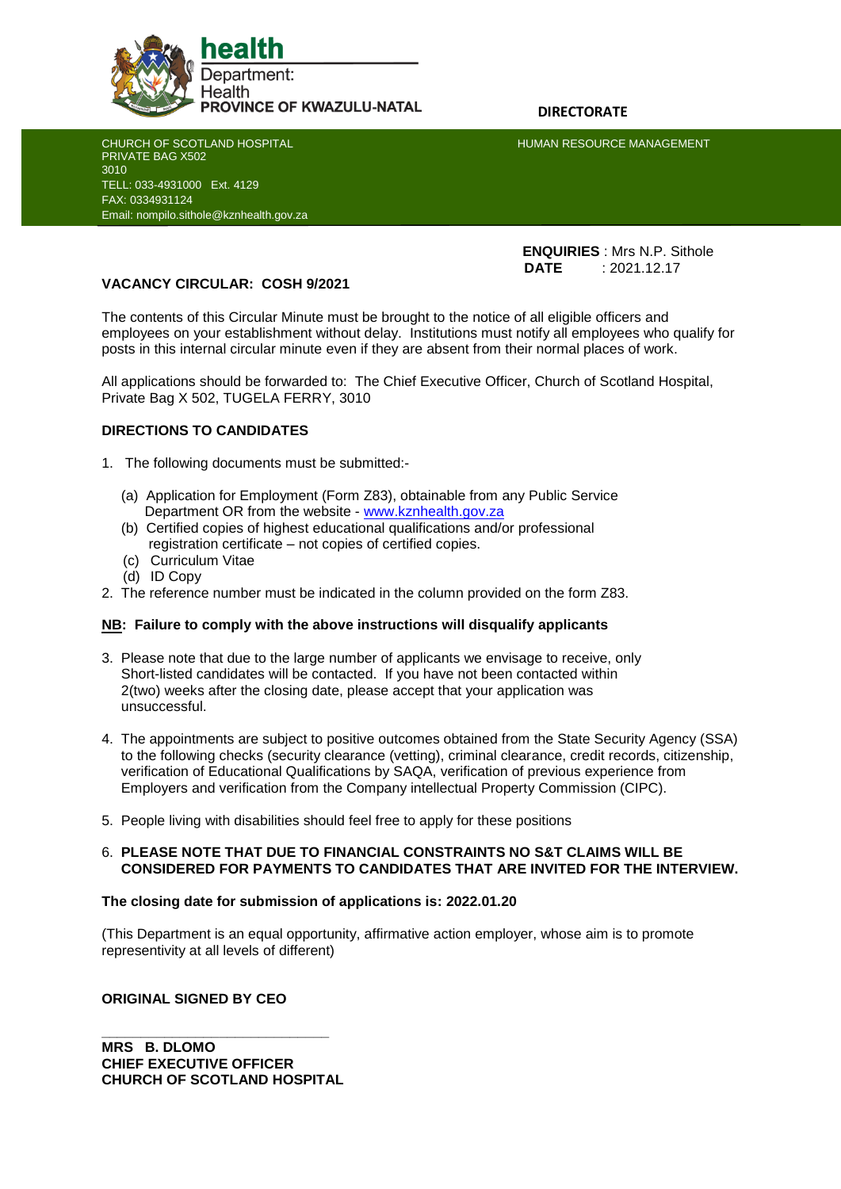

CHURCH OF SCOTLAND HOSPITAL **HUMAN RESOURCE MANAGEMENT** 

PRIVATE BAG X502 3010 TELL: 033-4931000 Ext. 4129 FAX: 0334931124 Email: nompilo.sithole@kznhealth.gov.za

j

 **ENQUIRIES** : Mrs N.P. Sithole **DATE** : 2021.12.17

# **VACANCY CIRCULAR: COSH 9/2021**

The contents of this Circular Minute must be brought to the notice of all eligible officers and employees on your establishment without delay. Institutions must notify all employees who qualify for posts in this internal circular minute even if they are absent from their normal places of work.

All applications should be forwarded to: The Chief Executive Officer, Church of Scotland Hospital, Private Bag X 502, TUGELA FERRY, 3010

# **DIRECTIONS TO CANDIDATES**

- 1. The following documents must be submitted:-
	- (a) Application for Employment (Form Z83), obtainable from any Public Service Department OR from the website - [www.kznhealth.gov.za](http://www.kznhealth.gov.za/)
	- (b) Certified copies of highest educational qualifications and/or professional registration certificate – not copies of certified copies.
	- (c) Curriculum Vitae
	- (d) ID Copy
- 2. The reference number must be indicated in the column provided on the form Z83.

# **NB: Failure to comply with the above instructions will disqualify applicants**

- 3. Please note that due to the large number of applicants we envisage to receive, only Short-listed candidates will be contacted. If you have not been contacted within 2(two) weeks after the closing date, please accept that your application was unsuccessful.
- 4. The appointments are subject to positive outcomes obtained from the State Security Agency (SSA) to the following checks (security clearance (vetting), criminal clearance, credit records, citizenship, verification of Educational Qualifications by SAQA, verification of previous experience from Employers and verification from the Company intellectual Property Commission (CIPC).
- 5. People living with disabilities should feel free to apply for these positions

### 6. **PLEASE NOTE THAT DUE TO FINANCIAL CONSTRAINTS NO S&T CLAIMS WILL BE CONSIDERED FOR PAYMENTS TO CANDIDATES THAT ARE INVITED FOR THE INTERVIEW.**

### **The closing date for submission of applications is: 2022.01.20**

(This Department is an equal opportunity, affirmative action employer, whose aim is to promote representivity at all levels of different)

### **ORIGINAL SIGNED BY CEO**

**\_\_\_\_\_\_\_\_\_\_\_\_\_\_\_\_\_\_\_\_\_\_\_\_\_\_\_\_\_ MRS B. DLOMO CHIEF EXECUTIVE OFFICER CHURCH OF SCOTLAND HOSPITAL**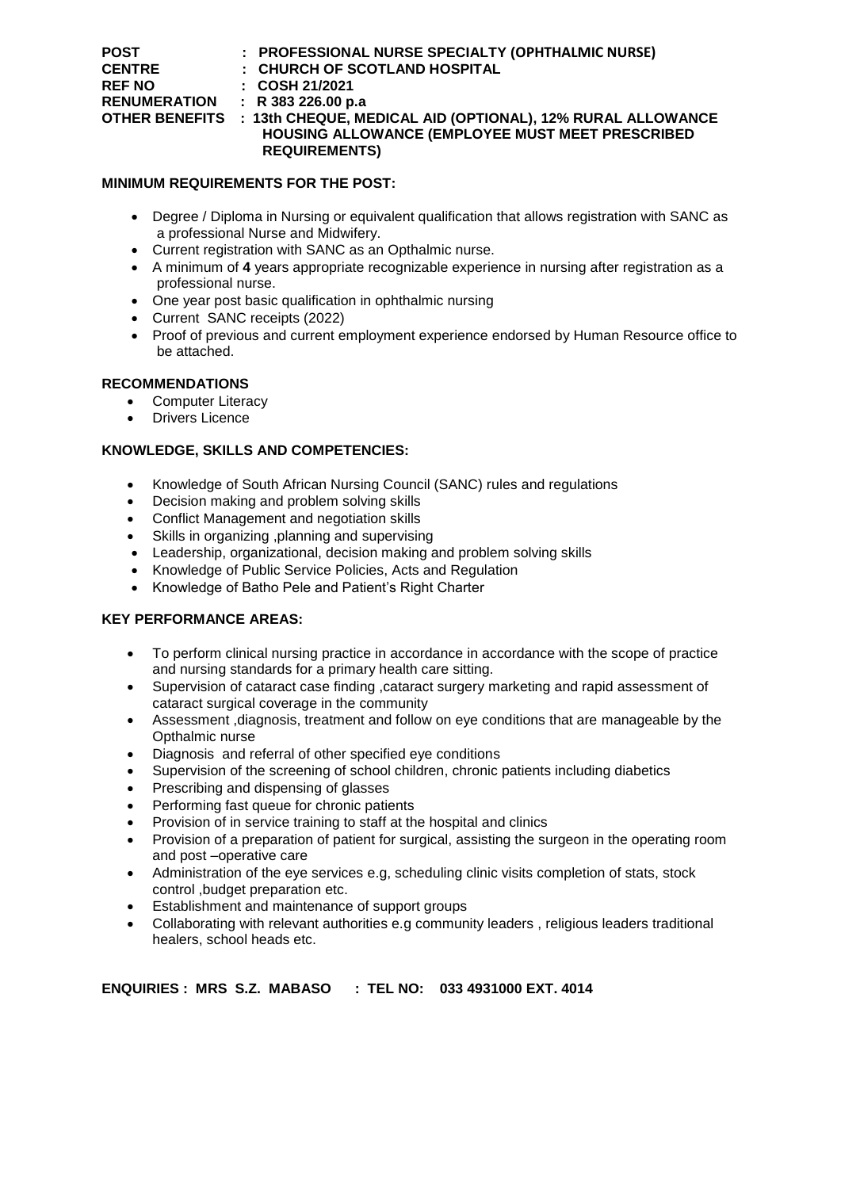| <b>POST</b>         | : PROFESSIONAL NURSE SPECIALTY (OPHTHALMIC NURSE)                         |
|---------------------|---------------------------------------------------------------------------|
| <b>CENTRE</b>       | : CHURCH OF SCOTLAND HOSPITAL                                             |
| <b>REF NO</b>       | $\therefore$ COSH 21/2021                                                 |
| <b>RENUMERATION</b> | : R383226.00 p.a                                                          |
|                     | OTHER BENEFITS : 13th CHEQUE, MEDICAL AID (OPTIONAL), 12% RURAL ALLOWANCE |
|                     | HOUSING ALLOWANCE (EMPLOYEE MUST MEET PRESCRIBED                          |
|                     | <b>REQUIREMENTS)</b>                                                      |

# **MINIMUM REQUIREMENTS FOR THE POST:**

- Degree / Diploma in Nursing or equivalent qualification that allows registration with SANC as a professional Nurse and Midwifery.
- Current registration with SANC as an Opthalmic nurse.
- A minimum of **4** years appropriate recognizable experience in nursing after registration as a professional nurse.
- One year post basic qualification in ophthalmic nursing
- Current SANC receipts (2022)
- Proof of previous and current employment experience endorsed by Human Resource office to be attached.

# **RECOMMENDATIONS**

- Computer Literacy
- Drivers Licence

# **KNOWLEDGE, SKILLS AND COMPETENCIES:**

- Knowledge of South African Nursing Council (SANC) rules and regulations
- Decision making and problem solving skills
- Conflict Management and negotiation skills
- Skills in organizing ,planning and supervising
- Leadership, organizational, decision making and problem solving skills
- Knowledge of Public Service Policies, Acts and Regulation
- Knowledge of Batho Pele and Patient's Right Charter

# **KEY PERFORMANCE AREAS:**

- To perform clinical nursing practice in accordance in accordance with the scope of practice and nursing standards for a primary health care sitting.
- Supervision of cataract case finding ,cataract surgery marketing and rapid assessment of cataract surgical coverage in the community
- Assessment ,diagnosis, treatment and follow on eye conditions that are manageable by the Opthalmic nurse
- Diagnosis and referral of other specified eye conditions
- Supervision of the screening of school children, chronic patients including diabetics
- Prescribing and dispensing of glasses
- Performing fast queue for chronic patients
- Provision of in service training to staff at the hospital and clinics
- Provision of a preparation of patient for surgical, assisting the surgeon in the operating room and post –operative care
- Administration of the eye services e.g, scheduling clinic visits completion of stats, stock control ,budget preparation etc.
- Establishment and maintenance of support groups
- Collaborating with relevant authorities e.g community leaders , religious leaders traditional healers, school heads etc.

# **ENQUIRIES : MRS S.Z. MABASO : TEL NO: 033 4931000 EXT. 4014**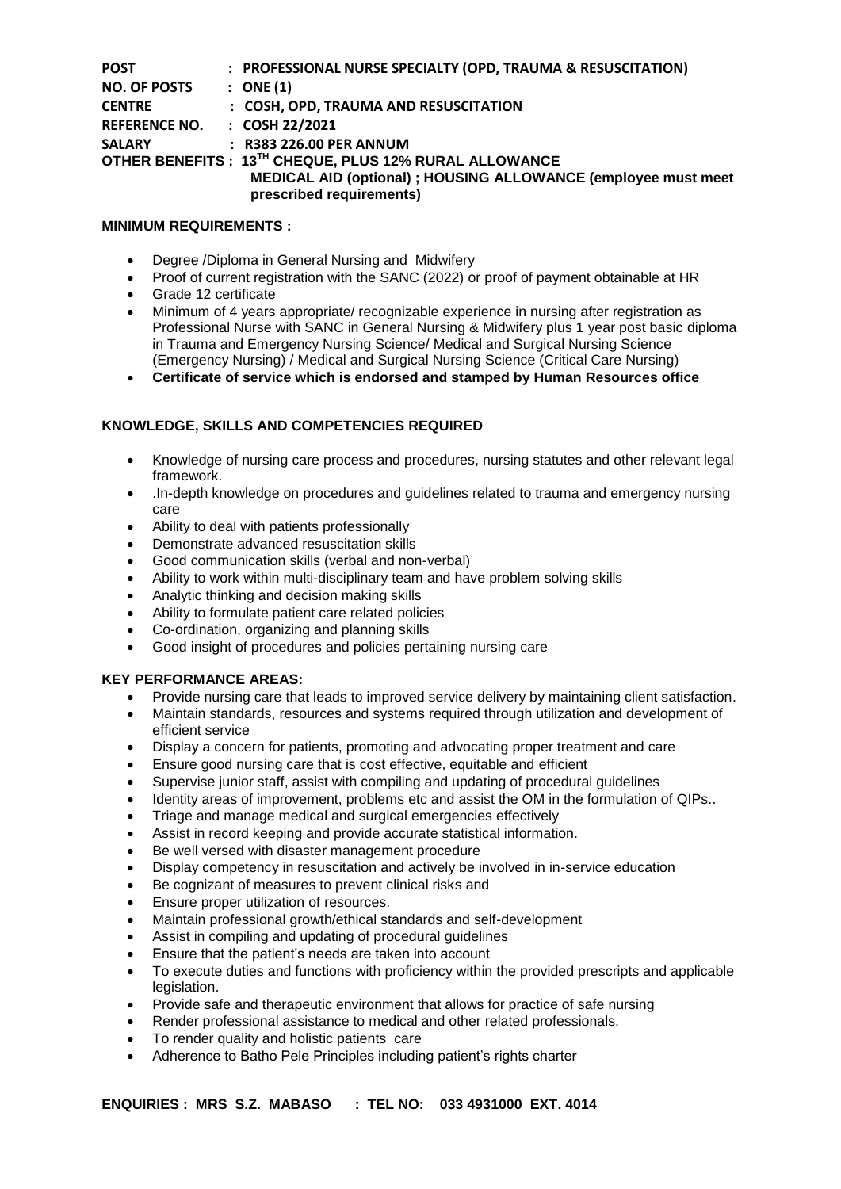| <b>POST</b>          | : PROFESSIONAL NURSE SPECIALTY (OPD, TRAUMA & RESUSCITATION)                               |
|----------------------|--------------------------------------------------------------------------------------------|
| <b>NO. OF POSTS</b>  | $:$ ONE (1)                                                                                |
| <b>CENTRE</b>        | : COSH, OPD, TRAUMA AND RESUSCITATION                                                      |
| <b>REFERENCE NO.</b> | $:$ COSH 22/2021                                                                           |
| <b>SALARY</b>        | $:$ R383 226.00 PER ANNUM                                                                  |
|                      | OTHER BENEFITS: 13TH CHEQUE, PLUS 12% RURAL ALLOWANCE                                      |
|                      | MEDICAL AID (optional) ; HOUSING ALLOWANCE (employee must meet<br>prescribed requirements) |

### **MINIMUM REQUIREMENTS :**

- Degree /Diploma in General Nursing and Midwifery
- Proof of current registration with the SANC (2022) or proof of payment obtainable at HR
- Grade 12 certificate
- Minimum of 4 years appropriate/ recognizable experience in nursing after registration as Professional Nurse with SANC in General Nursing & Midwifery plus 1 year post basic diploma in Trauma and Emergency Nursing Science/ Medical and Surgical Nursing Science (Emergency Nursing) / Medical and Surgical Nursing Science (Critical Care Nursing)
- **Certificate of service which is endorsed and stamped by Human Resources office**

# **KNOWLEDGE, SKILLS AND COMPETENCIES REQUIRED**

- Knowledge of nursing care process and procedures, nursing statutes and other relevant legal framework.
- .In-depth knowledge on procedures and guidelines related to trauma and emergency nursing care
- Ability to deal with patients professionally
- Demonstrate advanced resuscitation skills
- Good communication skills (verbal and non-verbal)
- Ability to work within multi-disciplinary team and have problem solving skills
- Analytic thinking and decision making skills
- Ability to formulate patient care related policies
- Co-ordination, organizing and planning skills
- Good insight of procedures and policies pertaining nursing care

# **KEY PERFORMANCE AREAS:**

- Provide nursing care that leads to improved service delivery by maintaining client satisfaction.
- Maintain standards, resources and systems required through utilization and development of efficient service
- Display a concern for patients, promoting and advocating proper treatment and care
- Ensure good nursing care that is cost effective, equitable and efficient
- Supervise junior staff, assist with compiling and updating of procedural guidelines
- Identity areas of improvement, problems etc and assist the OM in the formulation of QIPs..
- Triage and manage medical and surgical emergencies effectively
- Assist in record keeping and provide accurate statistical information.
- Be well versed with disaster management procedure
- Display competency in resuscitation and actively be involved in in-service education
- Be cognizant of measures to prevent clinical risks and
- Ensure proper utilization of resources.
- Maintain professional growth/ethical standards and self-development
- Assist in compiling and updating of procedural guidelines
- Ensure that the patient's needs are taken into account
- To execute duties and functions with proficiency within the provided prescripts and applicable legislation.
- Provide safe and therapeutic environment that allows for practice of safe nursing
- Render professional assistance to medical and other related professionals.
- To render quality and holistic patients care
- Adherence to Batho Pele Principles including patient's rights charter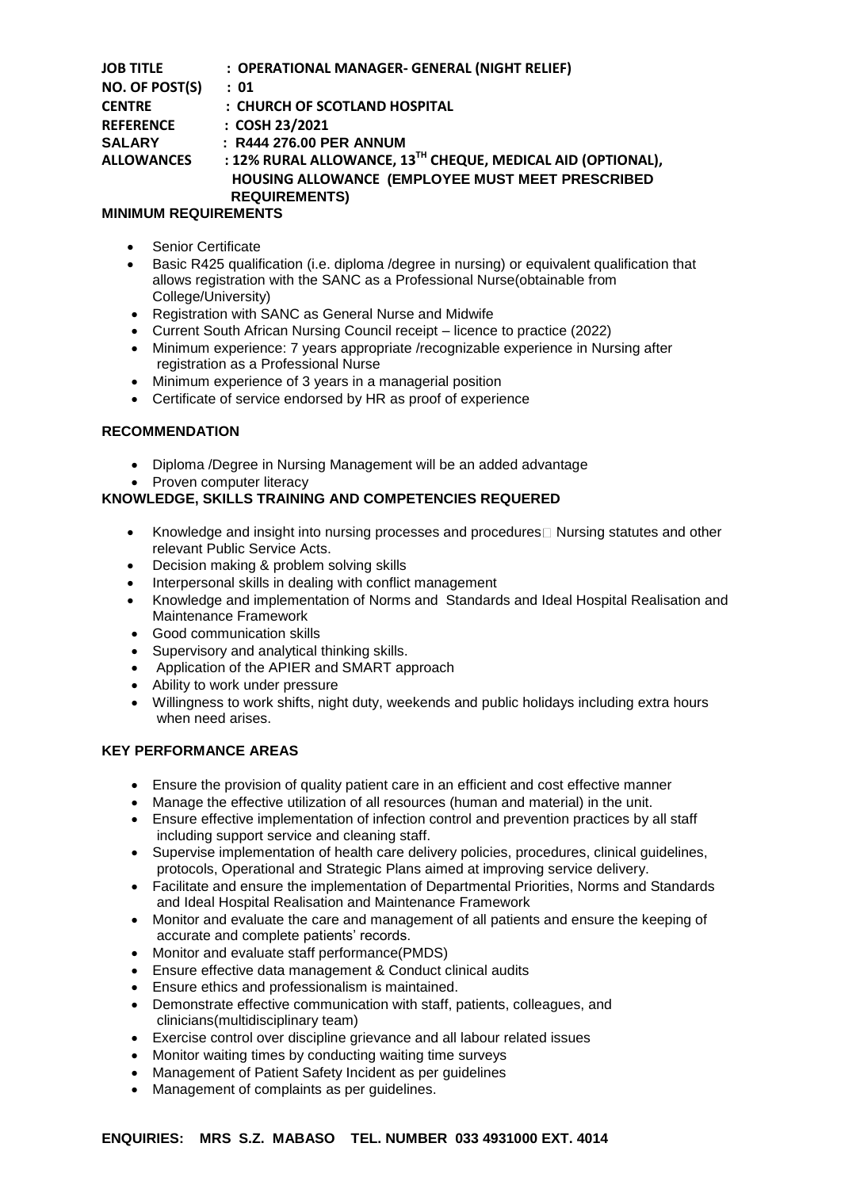| <b>JOB TITLE</b>  | : OPERATIONAL MANAGER- GENERAL (NIGHT RELIEF)               |
|-------------------|-------------------------------------------------------------|
| NO. OF POST(S)    | : 01                                                        |
| <b>CENTRE</b>     | : CHURCH OF SCOTLAND HOSPITAL                               |
| <b>REFERENCE</b>  | : COSH 23/2021                                              |
| <b>SALARY</b>     | : R444 276.00 PER ANNUM                                     |
| <b>ALLOWANCES</b> | : 12% RURAL ALLOWANCE, 13TH CHEQUE, MEDICAL AID (OPTIONAL), |
|                   | HOUSING ALLOWANCE (EMPLOYEE MUST MEET PRESCRIBED            |
|                   | <b>REQUIREMENTS)</b>                                        |

# **MINIMUM REQUIREMENTS**

- Senior Certificate
- Basic R425 qualification (i.e. diploma /degree in nursing) or equivalent qualification that allows registration with the SANC as a Professional Nurse(obtainable from College/University)
- Registration with SANC as General Nurse and Midwife
- Current South African Nursing Council receipt licence to practice (2022)
- Minimum experience: 7 years appropriate /recognizable experience in Nursing after registration as a Professional Nurse
- Minimum experience of 3 years in a managerial position
- Certificate of service endorsed by HR as proof of experience

### **RECOMMENDATION**

- Diploma /Degree in Nursing Management will be an added advantage
- Proven computer literacy

### **KNOWLEDGE, SKILLS TRAINING AND COMPETENCIES REQUERED**

- Knowledge and insight into nursing processes and procedures $\Box$  Nursing statutes and other relevant Public Service Acts.
- Decision making & problem solving skills
- Interpersonal skills in dealing with conflict management
- Knowledge and implementation of Norms and Standards and Ideal Hospital Realisation and Maintenance Framework
- Good communication skills
- Supervisory and analytical thinking skills.
- Application of the APIER and SMART approach
- Ability to work under pressure
- Willingness to work shifts, night duty, weekends and public holidays including extra hours when need arises.

### **KEY PERFORMANCE AREAS**

- Ensure the provision of quality patient care in an efficient and cost effective manner
- Manage the effective utilization of all resources (human and material) in the unit.
- Ensure effective implementation of infection control and prevention practices by all staff including support service and cleaning staff.
- Supervise implementation of health care delivery policies, procedures, clinical guidelines, protocols, Operational and Strategic Plans aimed at improving service delivery.
- Facilitate and ensure the implementation of Departmental Priorities, Norms and Standards and Ideal Hospital Realisation and Maintenance Framework
- Monitor and evaluate the care and management of all patients and ensure the keeping of accurate and complete patients' records.
- Monitor and evaluate staff performance(PMDS)
- Ensure effective data management & Conduct clinical audits
- Ensure ethics and professionalism is maintained.
- Demonstrate effective communication with staff, patients, colleagues, and clinicians(multidisciplinary team)
- Exercise control over discipline grievance and all labour related issues
- Monitor waiting times by conducting waiting time surveys
- Management of Patient Safety Incident as per guidelines
- Management of complaints as per guidelines.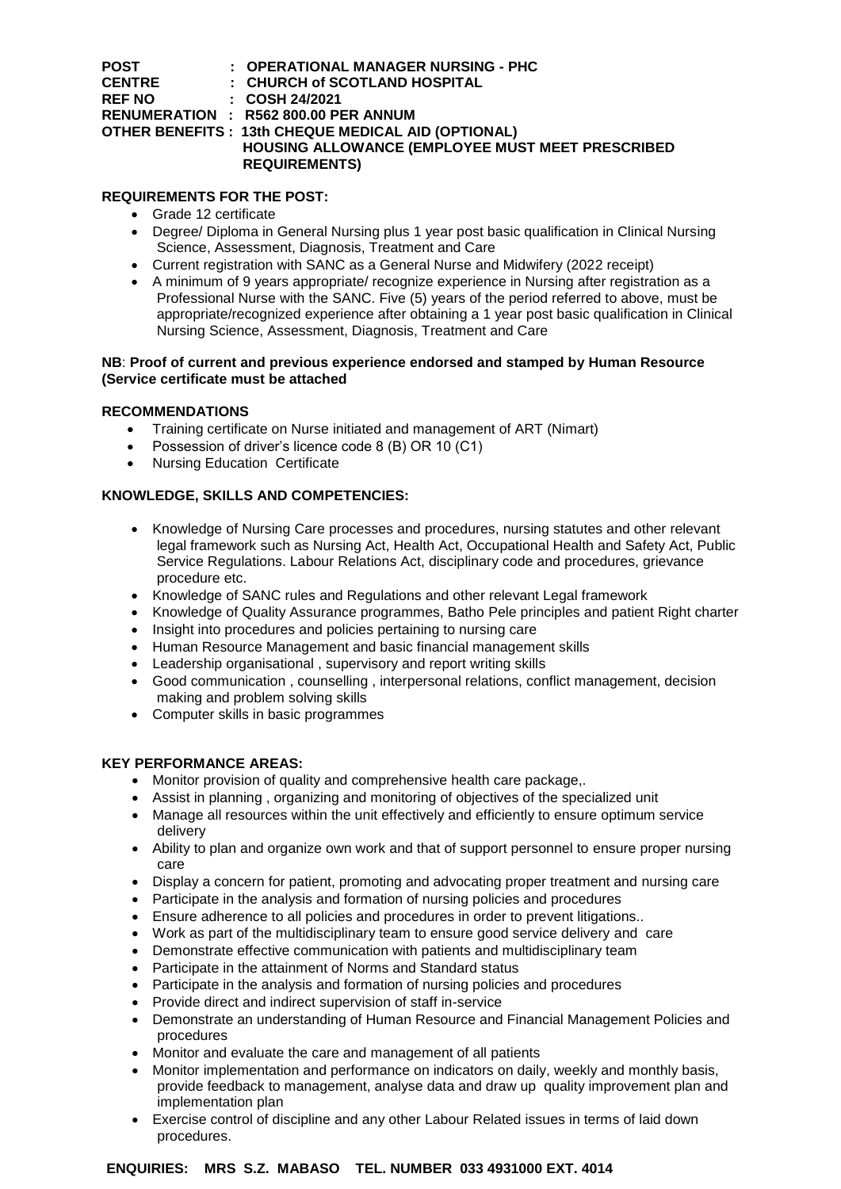| <b>POST</b>   | : OPERATIONAL MANAGER NURSING - PHC                |
|---------------|----------------------------------------------------|
| <b>CENTRE</b> | : CHURCH of SCOTLAND HOSPITAL                      |
| <b>REF NO</b> | $\therefore$ COSH 24/2021                          |
|               | RENUMERATION : R562 800.00 PER ANNUM               |
|               | OTHER BENEFITS: 13th CHEQUE MEDICAL AID (OPTIONAL) |
|               | HOUSING ALLOWANCE (EMPLOYEE MUST MEET PRESCRIBED   |
|               | <b>REQUIREMENTS)</b>                               |

# **REQUIREMENTS FOR THE POST:**

- Grade 12 certificate
- Degree/ Diploma in General Nursing plus 1 year post basic qualification in Clinical Nursing Science, Assessment, Diagnosis, Treatment and Care
- Current registration with SANC as a General Nurse and Midwifery (2022 receipt)
- A minimum of 9 years appropriate/ recognize experience in Nursing after registration as a Professional Nurse with the SANC. Five (5) years of the period referred to above, must be appropriate/recognized experience after obtaining a 1 year post basic qualification in Clinical Nursing Science, Assessment, Diagnosis, Treatment and Care

### **NB**: **Proof of current and previous experience endorsed and stamped by Human Resource (Service certificate must be attached**

### **RECOMMENDATIONS**

- Training certificate on Nurse initiated and management of ART (Nimart)
- Possession of driver's licence code 8 (B) OR 10 (C1)
- Nursing Education Certificate

# **KNOWLEDGE, SKILLS AND COMPETENCIES:**

- Knowledge of Nursing Care processes and procedures, nursing statutes and other relevant legal framework such as Nursing Act, Health Act, Occupational Health and Safety Act, Public Service Regulations. Labour Relations Act, disciplinary code and procedures, grievance procedure etc.
- Knowledge of SANC rules and Regulations and other relevant Legal framework
- Knowledge of Quality Assurance programmes, Batho Pele principles and patient Right charter
- Insight into procedures and policies pertaining to nursing care
- Human Resource Management and basic financial management skills
- Leadership organisational , supervisory and report writing skills
- Good communication , counselling , interpersonal relations, conflict management, decision making and problem solving skills
- Computer skills in basic programmes

# **KEY PERFORMANCE AREAS:**

- Monitor provision of quality and comprehensive health care package,.
- Assist in planning , organizing and monitoring of objectives of the specialized unit
- Manage all resources within the unit effectively and efficiently to ensure optimum service delivery
- Ability to plan and organize own work and that of support personnel to ensure proper nursing care
- Display a concern for patient, promoting and advocating proper treatment and nursing care
- Participate in the analysis and formation of nursing policies and procedures
- Ensure adherence to all policies and procedures in order to prevent litigations..
- Work as part of the multidisciplinary team to ensure good service delivery and care
- Demonstrate effective communication with patients and multidisciplinary team
- Participate in the attainment of Norms and Standard status
- Participate in the analysis and formation of nursing policies and procedures
- Provide direct and indirect supervision of staff in-service
- Demonstrate an understanding of Human Resource and Financial Management Policies and procedures
- Monitor and evaluate the care and management of all patients
- Monitor implementation and performance on indicators on daily, weekly and monthly basis, provide feedback to management, analyse data and draw up quality improvement plan and implementation plan
- Exercise control of discipline and any other Labour Related issues in terms of laid down procedures.

# **ENQUIRIES: MRS S.Z. MABASO TEL. NUMBER 033 4931000 EXT. 4014**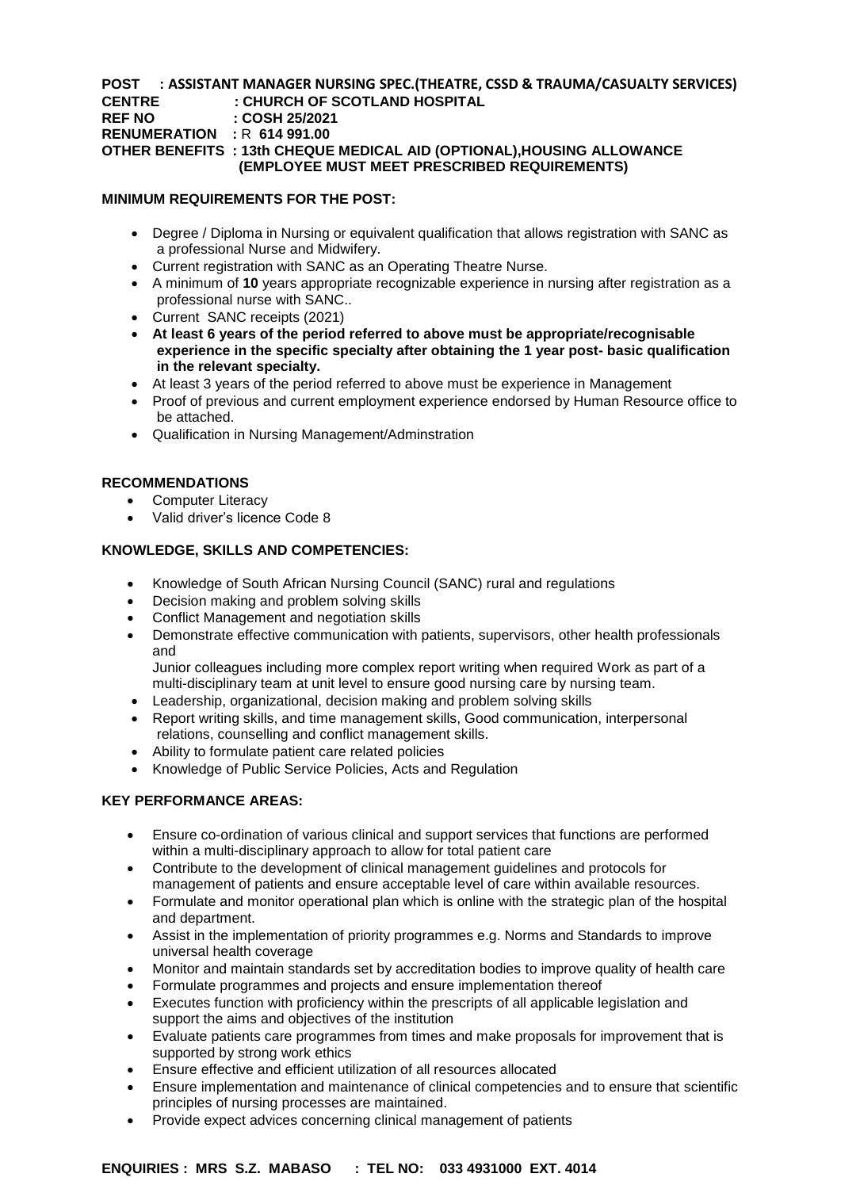### **POST : ASSISTANT MANAGER NURSING SPEC.(THEATRE, CSSD & TRAUMA/CASUALTY SERVICES) CENTRE : CHURCH OF SCOTLAND HOSPITAL REF NO : COSH 25/2021 RENUMERATION :** R **614 991.00 OTHER BENEFITS : 13th CHEQUE MEDICAL AID (OPTIONAL),HOUSING ALLOWANCE (EMPLOYEE MUST MEET PRESCRIBED REQUIREMENTS)**

### **MINIMUM REQUIREMENTS FOR THE POST:**

- Degree / Diploma in Nursing or equivalent qualification that allows registration with SANC as a professional Nurse and Midwifery.
- Current registration with SANC as an Operating Theatre Nurse.
- A minimum of **10** years appropriate recognizable experience in nursing after registration as a professional nurse with SANC..
- Current SANC receipts (2021)
- **At least 6 years of the period referred to above must be appropriate/recognisable experience in the specific specialty after obtaining the 1 year post- basic qualification in the relevant specialty.**
- At least 3 years of the period referred to above must be experience in Management
- Proof of previous and current employment experience endorsed by Human Resource office to be attached.
- Qualification in Nursing Management/Adminstration

### **RECOMMENDATIONS**

- Computer Literacy
- Valid driver's licence Code 8

### **KNOWLEDGE, SKILLS AND COMPETENCIES:**

- Knowledge of South African Nursing Council (SANC) rural and regulations
- Decision making and problem solving skills
- Conflict Management and negotiation skills
- Demonstrate effective communication with patients, supervisors, other health professionals and

Junior colleagues including more complex report writing when required Work as part of a multi-disciplinary team at unit level to ensure good nursing care by nursing team.

- Leadership, organizational, decision making and problem solving skills
- Report writing skills, and time management skills, Good communication, interpersonal relations, counselling and conflict management skills.
- Ability to formulate patient care related policies
- Knowledge of Public Service Policies, Acts and Regulation

### **KEY PERFORMANCE AREAS:**

- Ensure co-ordination of various clinical and support services that functions are performed within a multi-disciplinary approach to allow for total patient care
- Contribute to the development of clinical management guidelines and protocols for management of patients and ensure acceptable level of care within available resources.
- Formulate and monitor operational plan which is online with the strategic plan of the hospital and department.
- Assist in the implementation of priority programmes e.g. Norms and Standards to improve universal health coverage
- Monitor and maintain standards set by accreditation bodies to improve quality of health care
- Formulate programmes and projects and ensure implementation thereof
- Executes function with proficiency within the prescripts of all applicable legislation and support the aims and objectives of the institution
- Evaluate patients care programmes from times and make proposals for improvement that is supported by strong work ethics
- Ensure effective and efficient utilization of all resources allocated
- Ensure implementation and maintenance of clinical competencies and to ensure that scientific principles of nursing processes are maintained.
- Provide expect advices concerning clinical management of patients